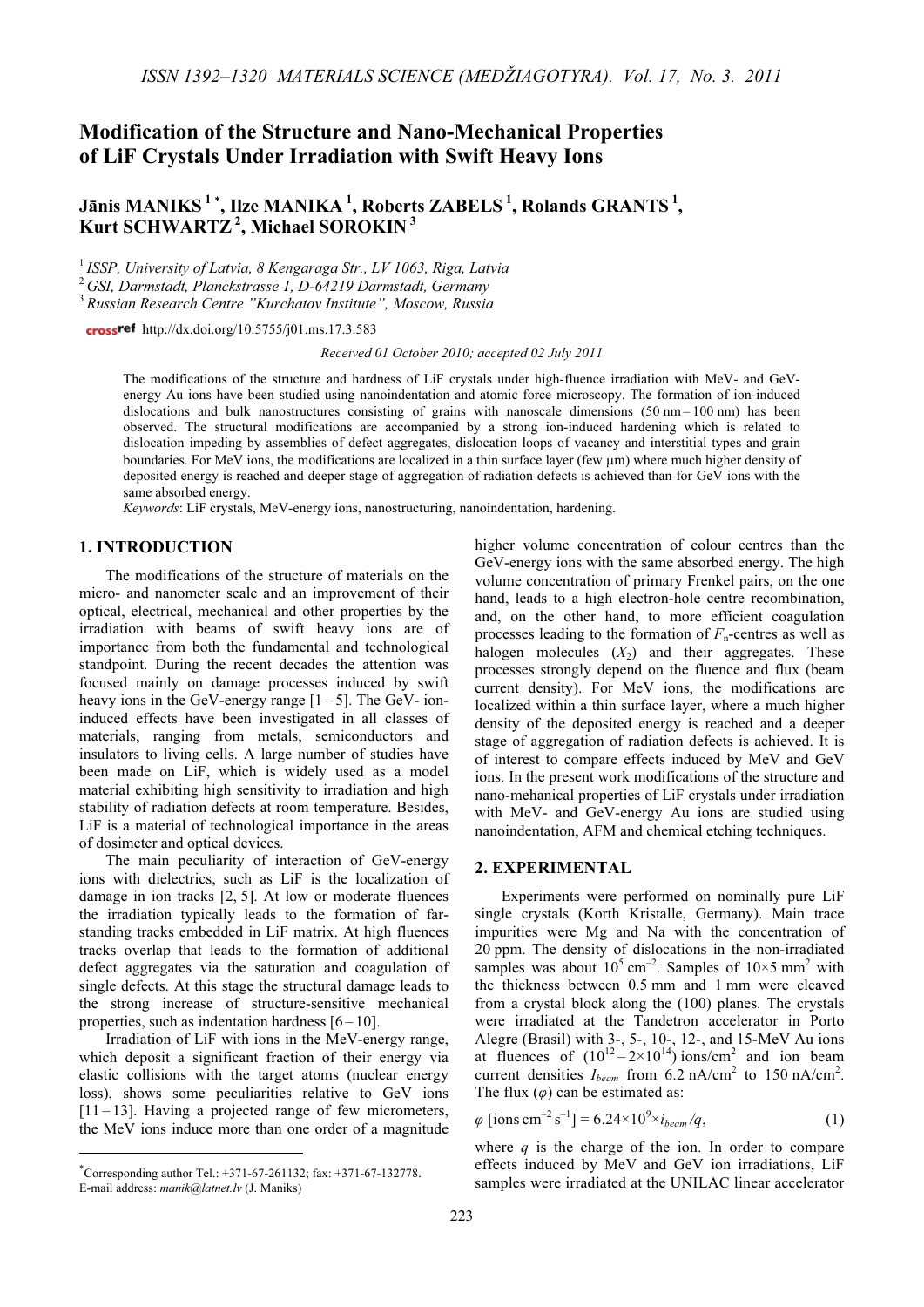## Modification of the Structure and Nano-Mechanical Properties of LiF Crystals Under Irradiation with Swift Heavy Ions

# Jānis MANIKS<sup>1</sup>\*, Ilze MANIKA<sup>1</sup>, Roberts ZABELS<sup>1</sup>, Rolands GRANTS<sup>1</sup>, Kurt SCHWARTZ<sup>2</sup>, Michael SOROKIN<sup>3</sup>

 $1$  ISSP, University of Latvia, 8 Kengaraga Str., LV 1063, Riga, Latvia

 $^{2}$  GSI, Darmstadt, Planckstrasse 1, D-64219 Darmstadt, Germany

<sup>3</sup> Russian Research Centre "Kurchatov Institute", Moscow, Russia

crossref http://dx.doi.org/10.5755/j01.ms.17.3.583

Received 01 October 2010; accepted 02 July 2011

The modifications of the structure and hardness of LiF crystals under high-fluence irradiation with MeV- and GeVenergy Au ions have been studied using nanoindentation and atomic force microscopy. The formation of ion-induced dislocations and bulk nanostructures consisting of grains with nanoscale dimensions (50 nm – 100 nm) has been observed. The structural modifications are accompanied by a strong ion-induced hardening which is related to dislocation impeding by assemblies of defect aggregates, dislocation loops of vacancy and interstitial types and grain boundaries. For MeV ions, the modifications are localized in a thin surface layer (few µm) where much higher density of deposited energy is reached and deeper stage of aggregation of radiation defects is achieved than for GeV ions with the same absorbed energy.

Keywords: LiF crystals, MeV-energy ions, nanostructuring, nanoindentation, hardening.

## 1. INTRODUCTION

The modifications of the structure of materials on the micro- and nanometer scale and an improvement of their optical, electrical, mechanical and other properties by the irradiation with beams of swift heavy ions are of importance from both the fundamental and technological standpoint. During the recent decades the attention was focused mainly on damage processes induced by swift heavy ions in the GeV-energy range  $[1-5]$ . The GeV- ioninduced effects have been investigated in all classes of materials, ranging from metals, semiconductors and insulators to living cells. A large number of studies have been made on LiF, which is widely used as a model material exhibiting high sensitivity to irradiation and high stability of radiation defects at room temperature. Besides, LiF is a material of technological importance in the areas of dosimeter and optical devices.

The main peculiarity of interaction of GeV-energy ions with dielectrics, such as LiF is the localization of damage in ion tracks [2, 5]. At low or moderate fluences the irradiation typically leads to the formation of farstanding tracks embedded in LiF matrix. At high fluences tracks overlap that leads to the formation of additional defect aggregates via the saturation and coagulation of single defects. At this stage the structural damage leads to the strong increase of structure-sensitive mechanical properties, such as indentation hardness  $[6 - 10]$ .

Irradiation of LiF with ions in the MeV-energy range, which deposit a significant fraction of their energy via elastic collisions with the target atoms (nuclear energy loss), shows some peculiarities relative to GeV ions  $[11 - 13]$ . Having a projected range of few micrometers, the MeV ions induce more than one order of a magnitude higher volume concentration of colour centres than the GeV-energy ions with the same absorbed energy. The high volume concentration of primary Frenkel pairs, on the one hand, leads to a high electron-hole centre recombination, and, on the other hand, to more efficient coagulation processes leading to the formation of  $F_n$ -centres as well as halogen molecules  $(X_2)$  and their aggregates. These processes strongly depend on the fluence and flux (beam current density). For MeV ions, the modifications are localized within a thin surface layer, where a much higher density of the deposited energy is reached and a deeper stage of aggregation of radiation defects is achieved. It is of interest to compare effects induced by MeV and GeV ions. In the present work modifications of the structure and nano-mehanical properties of LiF crystals under irradiation with MeV- and GeV-energy Au ions are studied using nanoindentation, AFM and chemical etching techniques.

## 2. EXPERIMENTAL

Experiments were performed on nominally pure LiF single crystals (Korth Kristalle, Germany). Main trace impurities were Mg and Na with the concentration of 20 ppm. The density of dislocations in the non-irradiated samples was about  $10^5$  cm<sup>-2</sup>. Samples of  $10 \times 5$  mm<sup>2</sup> with the thickness between 0.5 mm and 1 mm were cleaved from a crystal block along the (100) planes. The crystals were irradiated at the Tandetron accelerator in Porto Alegre (Brasil) with 3-, 5-, 10-, 12-, and 15-MeV Au ions at fluences of  $(10^{12} - 2 \times 10^{14})$  ions/cm<sup>2</sup> and ion beam current densities  $I_{beam}$  from 6.2 nA/cm<sup>2</sup> to 150 nA/cm<sup>2</sup>. The flux  $(\varphi)$  can be estimated as:

$$
\varphi \left[ \text{ions cm}^{-2} \, \text{s}^{-1} \right] = 6.24 \times 10^9 \times i_{beam} / q, \tag{1}
$$

where  $q$  is the charge of the ion. In order to compare effects induced by MeV and GeV ion irradiations, LiF samples were irradiated at the UNILAC linear accelerator

<sup>∗</sup> Corresponding author Tel.: +371-67-261132; fax: +371-67-132778. E-mail address: manik@latnet.lv (J. Maniks)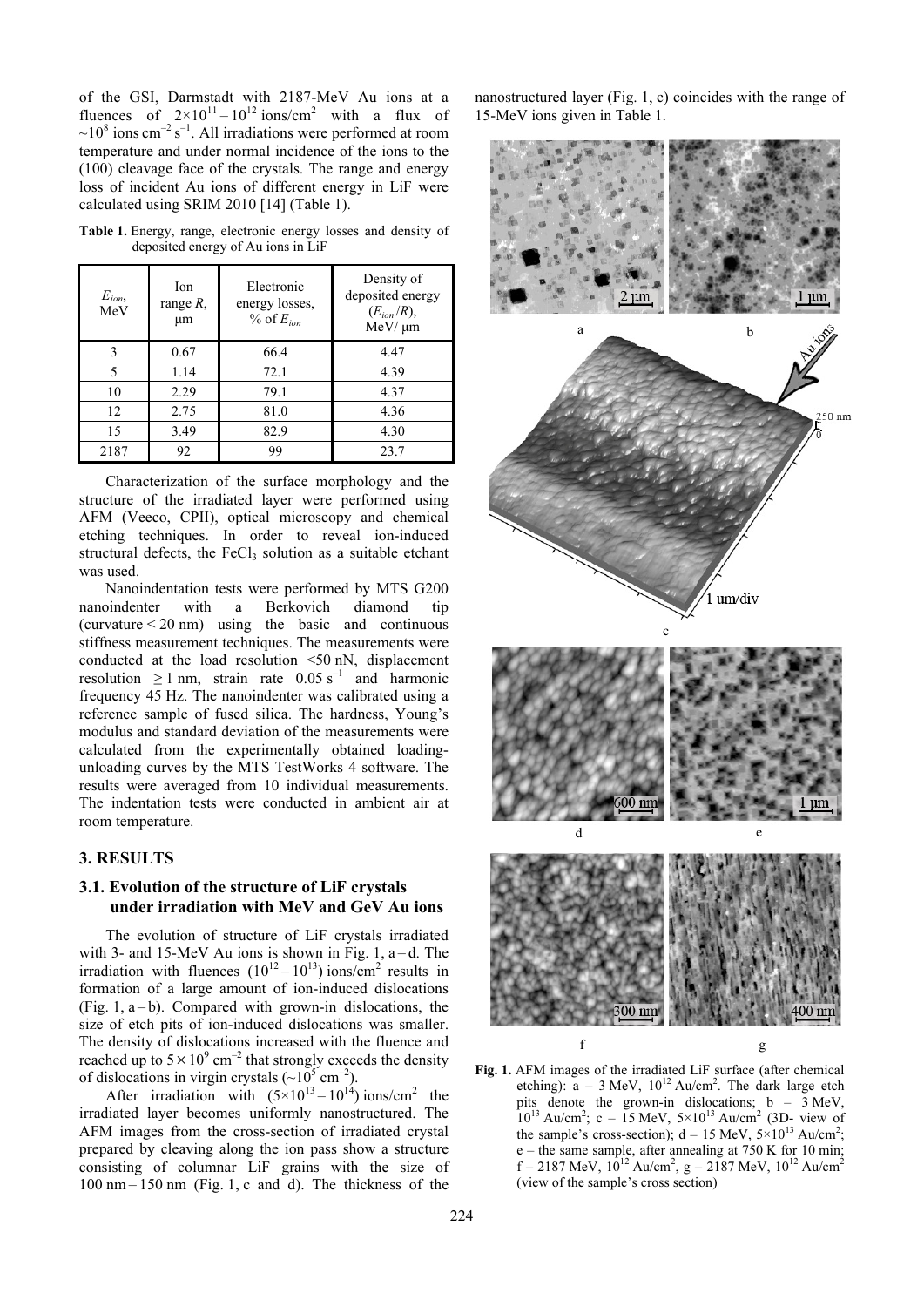of the GSI, Darmstadt with 2187-MeV Au ions at a fluences of  $2 \times 10^{11} - 10^{12}$  ions/cm<sup>2</sup> with a flux of  $\sim 10^8$  ions cm<sup>-2</sup> s<sup>-1</sup>. All irradiations were performed at room temperature and under normal incidence of the ions to the (100) cleavage face of the crystals. The range and energy loss of incident Au ions of different energy in LiF were calculated using SRIM 2010 [14] (Table 1).

| $E_{ion}$<br>MeV | Ion.<br>range $R$ ,<br>μm | Electronic<br>energy losses,<br>$\%$ of $E_{ion}$ | Density of<br>deposited energy<br>$(E_{ion}/R)$ ,<br>$MeV/\mu m$ |
|------------------|---------------------------|---------------------------------------------------|------------------------------------------------------------------|
| 3                | 0.67                      | 66.4                                              | 4.47                                                             |
| 5                | 1.14                      | 72.1                                              | 4.39                                                             |
| 10               | 2.29                      | 79.1                                              | 4.37                                                             |
| 12               | 2.75                      | 81.0                                              | 4.36                                                             |
| 15               | 3.49                      | 82.9                                              | 4.30                                                             |
| 2187             | 92                        | 99                                                | 23.7                                                             |

Table 1. Energy, range, electronic energy losses and density of deposited energy of Au ions in LiF

Characterization of the surface morphology and the structure of the irradiated layer were performed using AFM (Veeco, CPII), optical microscopy and chemical etching techniques. In order to reveal ion-induced structural defects, the  $FeCl<sub>3</sub>$  solution as a suitable etchant was used.

Nanoindentation tests were performed by MTS G200 nanoindenter with a Berkovich diamond tip (curvature  $\leq$  20 nm) using the basic and continuous stiffness measurement techniques. The measurements were conducted at the load resolution <50 nN, displacement resolution  $\geq 1$  nm, strain rate 0.05 s<sup>-1</sup> and harmonic frequency 45 Hz. The nanoindenter was calibrated using a reference sample of fused silica. The hardness, Young's modulus and standard deviation of the measurements were calculated from the experimentally obtained loadingunloading curves by the MTS TestWorks 4 software. The results were averaged from 10 individual measurements. The indentation tests were conducted in ambient air at room temperature.

## 3. RESULTS

#### 3.1. Evolution of the structure of LiF crystals under irradiation with MeV and GeV Au ions

The evolution of structure of LiF crystals irradiated with 3- and 15-MeV Au ions is shown in Fig. 1,  $a-d$ . The irradiation with fluences  $(10^{12} - 10^{13})$  ions/cm<sup>2</sup> results in formation of a large amount of ion-induced dislocations (Fig. 1,  $a-b$ ). Compared with grown-in dislocations, the size of etch pits of ion-induced dislocations was smaller. The density of dislocations increased with the fluence and reached up to  $5 \times 10^{9}$  cm<sup>-2</sup> that strongly exceeds the density of dislocations in virgin crystals  $({\sim}10^5 \text{ cm}^{-2})$ .

After irradiation with  $(5 \times 10^{13} - 10^{14})$  ions/cm<sup>2</sup> the irradiated layer becomes uniformly nanostructured. The AFM images from the cross-section of irradiated crystal prepared by cleaving along the ion pass show a structure consisting of columnar LiF grains with the size of  $100 \text{ nm} - 150 \text{ nm}$  (Fig. 1, c and d). The thickness of the

nanostructured layer (Fig. 1, c) coincides with the range of 15-MeV ions given in Table 1.



Fig. 1. AFM images of the irradiated LiF surface (after chemical etching):  $a - 3$  MeV,  $10^{12}$  Au/cm<sup>2</sup>. The dark large etch pits denote the grown-in dislocations;  $b - 3$  MeV,  $10^{13}$  Au/cm<sup>2</sup>; c – 15 MeV,  $5 \times 10^{13}$  Au/cm<sup>2</sup> (3D- view of the sample's cross-section);  $d - 15$  MeV,  $5 \times 10^{13}$  Au/cm<sup>2</sup>;  $e$  – the same sample, after annealing at 750 K for 10 min;  $f - 2187$  MeV,  $10^{12}$  Au/cm<sup>2</sup>, g – 2187 MeV,  $10^{12}$  Au/cm<sup>2</sup> (view of the sample's cross section)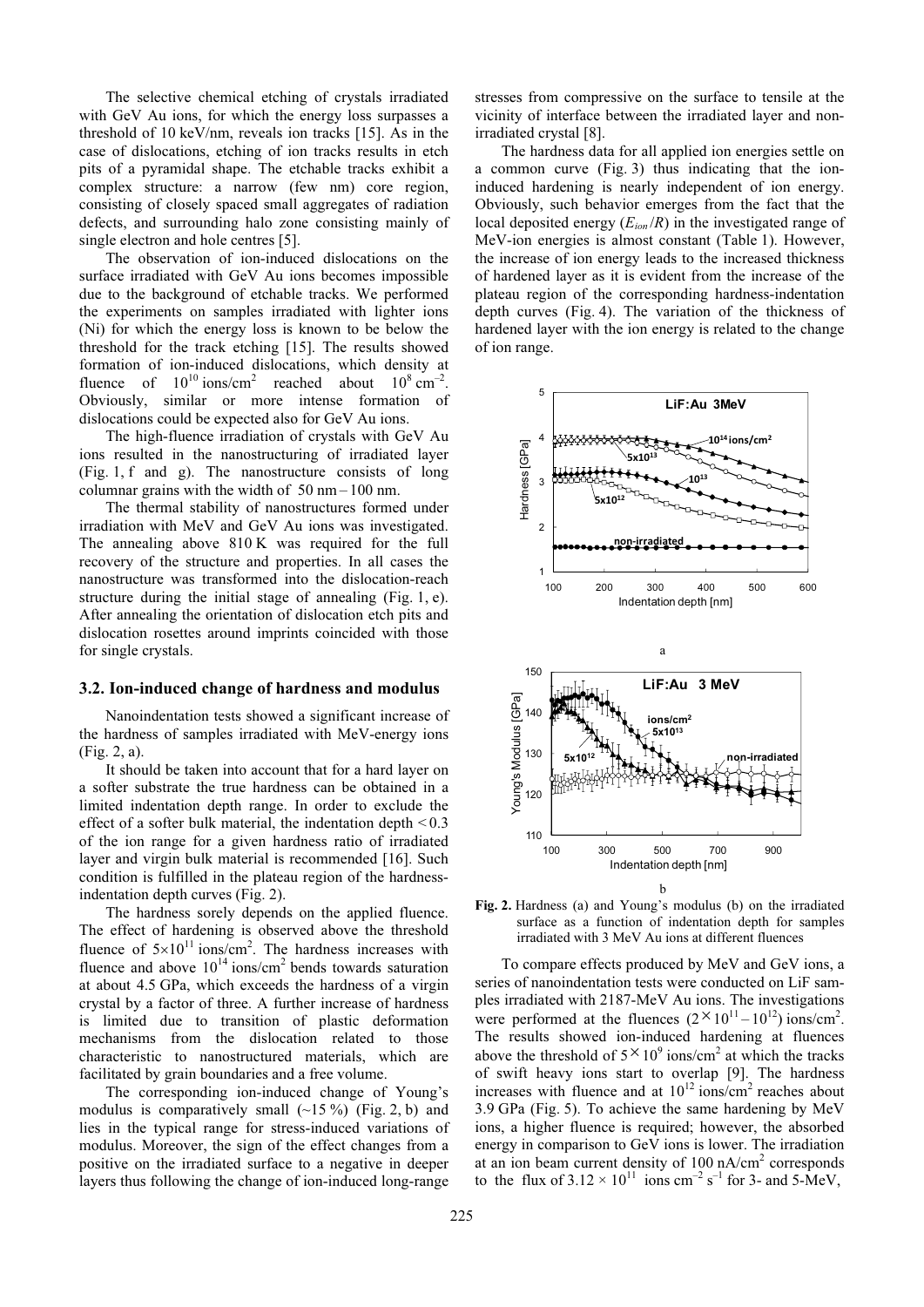The selective chemical etching of crystals irradiated with GeV Au ions, for which the energy loss surpasses a threshold of 10 keV/nm, reveals ion tracks [15]. As in the case of dislocations, etching of ion tracks results in etch pits of a pyramidal shape. The etchable tracks exhibit a complex structure: a narrow (few nm) core region, consisting of closely spaced small aggregates of radiation defects, and surrounding halo zone consisting mainly of single electron and hole centres [5].

The observation of ion-induced dislocations on the surface irradiated with GeV Au ions becomes impossible due to the background of etchable tracks. We performed the experiments on samples irradiated with lighter ions (Ni) for which the energy loss is known to be below the threshold for the track etching [15]. The results showed formation of ion-induced dislocations, which density at fluence of  $10^{10}$  ions/cm<sup>2</sup> reached about  $10^8$  cm<sup>-2</sup>. Obviously, similar or more intense formation of dislocations could be expected also for GeV Au ions.

The high-fluence irradiation of crystals with GeV Au ions resulted in the nanostructuring of irradiated layer (Fig. 1, f and g). The nanostructure consists of long columnar grains with the width of  $50 \text{ nm} - 100 \text{ nm}$ .

The thermal stability of nanostructures formed under irradiation with MeV and GeV Au ions was investigated. The annealing above 810 K was required for the full recovery of the structure and properties. In all cases the nanostructure was transformed into the dislocation-reach structure during the initial stage of annealing (Fig. 1, e). After annealing the orientation of dislocation etch pits and dislocation rosettes around imprints coincided with those for single crystals.

#### 3.2. Ion-induced change of hardness and modulus

Nanoindentation tests showed a significant increase of the hardness of samples irradiated with MeV-energy ions (Fig. 2, a).

It should be taken into account that for a hard layer on a softer substrate the true hardness can be obtained in a limited indentation depth range. In order to exclude the effect of a softer bulk material, the indentation depth  $\leq 0.3$ of the ion range for a given hardness ratio of irradiated layer and virgin bulk material is recommended [16]. Such condition is fulfilled in the plateau region of the hardnessindentation depth curves (Fig. 2).

The hardness sorely depends on the applied fluence. The effect of hardening is observed above the threshold fluence of  $5\times10^{11}$  ions/cm<sup>2</sup>. The hardness increases with fluence and above  $10^{14}$  ions/cm<sup>2</sup> bends towards saturation at about 4.5 GPa, which exceeds the hardness of a virgin crystal by a factor of three. A further increase of hardness is limited due to transition of plastic deformation mechanisms from the dislocation related to those characteristic to nanostructured materials, which are facilitated by grain boundaries and a free volume.

The corresponding ion-induced change of Young's modulus is comparatively small  $(-15\%)$  (Fig. 2, b) and lies in the typical range for stress-induced variations of modulus. Moreover, the sign of the effect changes from a positive on the irradiated surface to a negative in deeper layers thus following the change of ion-induced long-range

stresses from compressive on the surface to tensile at the vicinity of interface between the irradiated layer and nonirradiated crystal [8].

The hardness data for all applied ion energies settle on a common curve (Fig. 3) thus indicating that the ioninduced hardening is nearly independent of ion energy. Obviously, such behavior emerges from the fact that the local deposited energy  $(E_{ion}/R)$  in the investigated range of MeV-ion energies is almost constant (Table 1). However, the increase of ion energy leads to the increased thickness of hardened layer as it is evident from the increase of the plateau region of the corresponding hardness-indentation depth curves (Fig. 4). The variation of the thickness of hardened layer with the ion energy is related to the change of ion range.



Fig. 2. Hardness (a) and Young's modulus (b) on the irradiated surface as a function of indentation depth for samples irradiated with 3 MeV Au ions at different fluences

To compare effects produced by MeV and GeV ions, a series of nanoindentation tests were conducted on LiF samples irradiated with 2187-MeV Au ions. The investigations were performed at the fluences  $(2 \times 10^{11} - 10^{12})$  ions/cm<sup>2</sup>. The results showed ion-induced hardening at fluences The results showed foll-induced hardening at fidences<br>above the threshold of  $5 \times 10^9$  ions/cm<sup>2</sup> at which the tracks of swift heavy ions start to overlap [9]. The hardness increases with fluence and at  $10^{12}$  ions/cm<sup>2</sup> reaches about 3.9 GPa (Fig. 5). To achieve the same hardening by MeV ions, a higher fluence is required; however, the absorbed energy in comparison to GeV ions is lower. The irradiation at an ion beam current density of 100 nA/cm<sup>2</sup> corresponds to the flux of  $3.12 \times 10^{11}$  ions cm<sup>-2</sup> s<sup>-1</sup> for 3- and 5-MeV,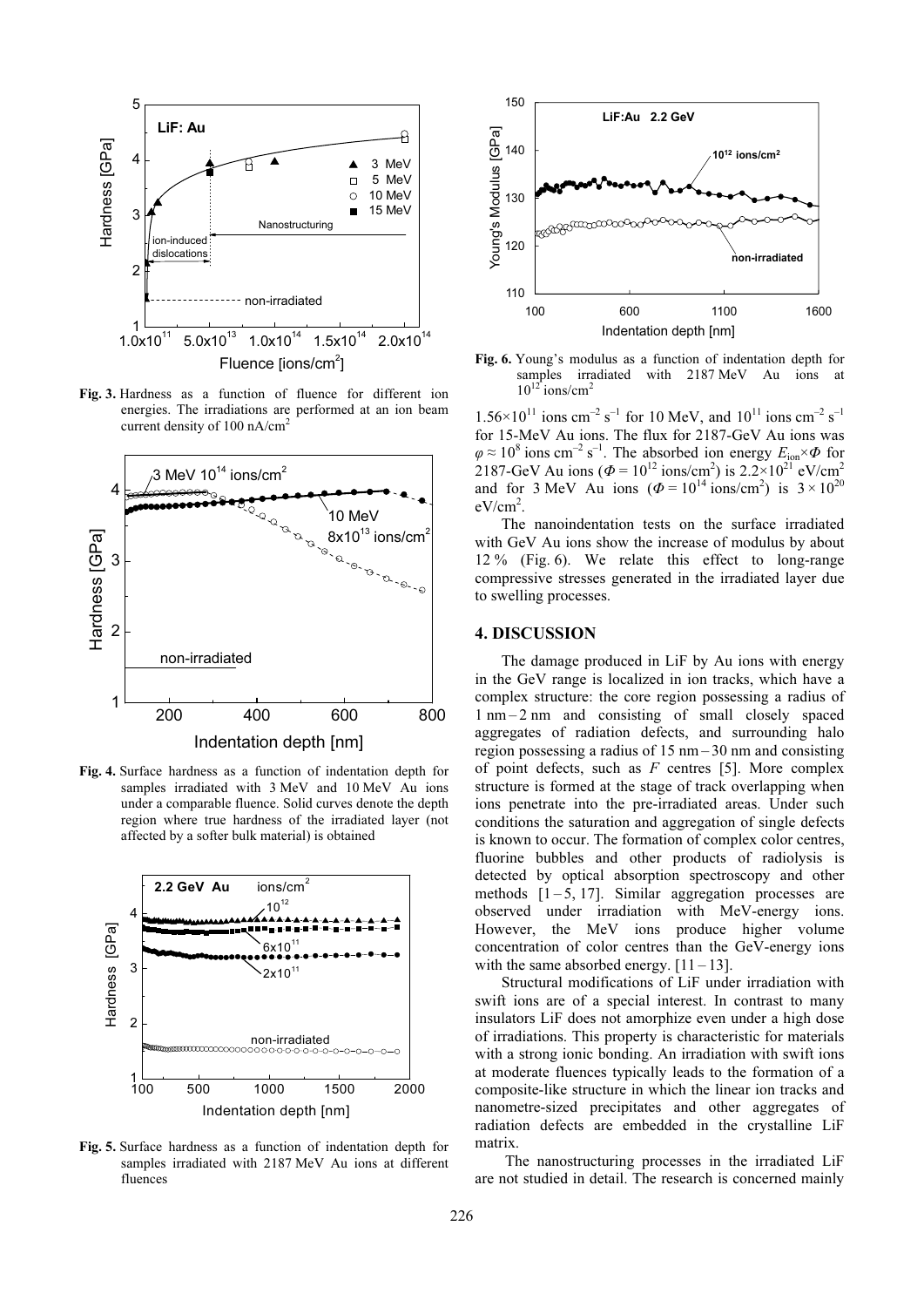

Fig. 3. Hardness as a function of fluence for different ion energies. The irradiations are performed at an ion beam current density of 100 nA/cm<sup>2</sup>



Fig. 4. Surface hardness as a function of indentation depth for samples irradiated with 3 MeV and 10 MeV Au ions under a comparable fluence. Solid curves denote the depth region where true hardness of the irradiated layer (not affected by a softer bulk material) is obtained



Fig. 5. Surface hardness as a function of indentation depth for samples irradiated with 2187 MeV Au ions at different fluences



Fig. 6. Young's modulus as a function of indentation depth for samples irradiated with 2187 MeV Au ions at  $10^{12}$  ions/cm<sup>2</sup>

 $1.56 \times 10^{11}$  ions cm<sup>-2</sup> s<sup>-1</sup> for 10 MeV, and  $10^{11}$  ions cm<sup>-2</sup> s<sup>-1</sup> for 15-MeV Au ions. The flux for 2187-GeV Au ions was  $\varphi \approx 10^8$  ions cm<sup>-2</sup> s<sup>-1</sup>. The absorbed ion energy  $E_{\text{ion}} \times \varPhi$  for 2187-GeV Au ions ( $\Phi = 10^{12}$  ions/cm<sup>2</sup>) is 2.2×10<sup>21</sup> eV/cm<sup>2</sup> and for 3 MeV Au ions  $(\Phi = 10^{14} \text{ ions/cm}^2)$  is  $3 \times 10^{20}$  $eV/cm<sup>2</sup>$ .

The nanoindentation tests on the surface irradiated with GeV Au ions show the increase of modulus by about 12 % (Fig. 6). We relate this effect to long-range compressive stresses generated in the irradiated layer due to swelling processes.

#### 4. DISCUSSION

The damage produced in LiF by Au ions with energy in the GeV range is localized in ion tracks, which have a complex structure: the core region possessing a radius of 1 nm – 2 nm and consisting of small closely spaced aggregates of radiation defects, and surrounding halo region possessing a radius of 15 nm – 30 nm and consisting of point defects, such as  $F$  centres [5]. More complex structure is formed at the stage of track overlapping when ions penetrate into the pre-irradiated areas. Under such conditions the saturation and aggregation of single defects is known to occur. The formation of complex color centres, fluorine bubbles and other products of radiolysis is detected by optical absorption spectroscopy and other methods  $[1 - 5, 17]$ . Similar aggregation processes are observed under irradiation with MeV-energy ions. However, the MeV ions produce higher volume concentration of color centres than the GeV-energy ions with the same absorbed energy.  $[11 - 13]$ .

Structural modifications of LiF under irradiation with swift ions are of a special interest. In contrast to many insulators LiF does not amorphize even under a high dose of irradiations. This property is characteristic for materials with a strong ionic bonding. An irradiation with swift ions at moderate fluences typically leads to the formation of a composite-like structure in which the linear ion tracks and nanometre-sized precipitates and other aggregates of radiation defects are embedded in the crystalline LiF matrix.

 The nanostructuring processes in the irradiated LiF are not studied in detail. The research is concerned mainly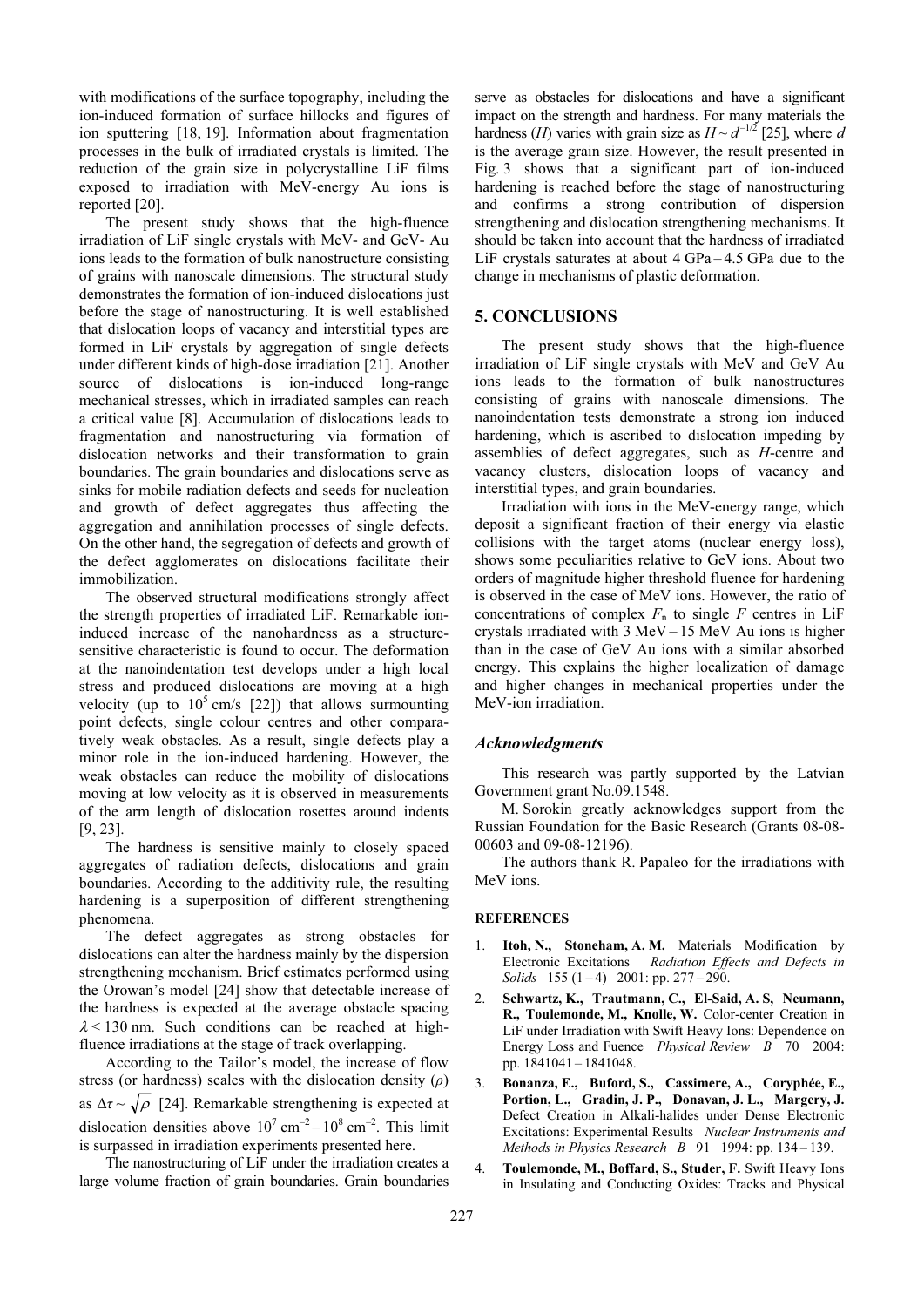with modifications of the surface topography, including the ion-induced formation of surface hillocks and figures of ion sputtering [18, 19]. Information about fragmentation processes in the bulk of irradiated crystals is limited. The reduction of the grain size in polycrystalline LiF films exposed to irradiation with MeV-energy Au ions is reported [20].

The present study shows that the high-fluence irradiation of LiF single crystals with MeV- and GeV- Au ions leads to the formation of bulk nanostructure consisting of grains with nanoscale dimensions. The structural study demonstrates the formation of ion-induced dislocations just before the stage of nanostructuring. It is well established that dislocation loops of vacancy and interstitial types are formed in LiF crystals by aggregation of single defects under different kinds of high-dose irradiation [21]. Another source of dislocations is ion-induced long-range mechanical stresses, which in irradiated samples can reach a critical value [8]. Accumulation of dislocations leads to fragmentation and nanostructuring via formation of dislocation networks and their transformation to grain boundaries. The grain boundaries and dislocations serve as sinks for mobile radiation defects and seeds for nucleation and growth of defect aggregates thus affecting the aggregation and annihilation processes of single defects. On the other hand, the segregation of defects and growth of the defect agglomerates on dislocations facilitate their immobilization.

The observed structural modifications strongly affect the strength properties of irradiated LiF. Remarkable ioninduced increase of the nanohardness as a structuresensitive characteristic is found to occur. The deformation at the nanoindentation test develops under a high local stress and produced dislocations are moving at a high velocity (up to  $10^5$  cm/s [22]) that allows surmounting point defects, single colour centres and other comparatively weak obstacles. As a result, single defects play a minor role in the ion-induced hardening. However, the weak obstacles can reduce the mobility of dislocations moving at low velocity as it is observed in measurements of the arm length of dislocation rosettes around indents [9, 23].

The hardness is sensitive mainly to closely spaced aggregates of radiation defects, dislocations and grain boundaries. According to the additivity rule, the resulting hardening is a superposition of different strengthening phenomena.

The defect aggregates as strong obstacles for dislocations can alter the hardness mainly by the dispersion strengthening mechanism. Brief estimates performed using the Orowan's model [24] show that detectable increase of the hardness is expected at the average obstacle spacing  $\lambda$  < 130 nm. Such conditions can be reached at highfluence irradiations at the stage of track overlapping.

According to the Tailor's model, the increase of flow stress (or hardness) scales with the dislocation density  $(\rho)$ as  $\Delta \tau \sim \sqrt{\rho}$  [24]. Remarkable strengthening is expected at dislocation densities above  $10^7 \text{ cm}^{-2} - 10^8 \text{ cm}^{-2}$ . This limit is surpassed in irradiation experiments presented here.

The nanostructuring of LiF under the irradiation creates a large volume fraction of grain boundaries. Grain boundaries serve as obstacles for dislocations and have a significant impact on the strength and hardness. For many materials the hardness (*H*) varies with grain size as  $H \sim d^{-1/2}$  [25], where d is the average grain size. However, the result presented in Fig. 3 shows that a significant part of ion-induced hardening is reached before the stage of nanostructuring and confirms a strong contribution of dispersion strengthening and dislocation strengthening mechanisms. It should be taken into account that the hardness of irradiated LiF crystals saturates at about  $4 \text{ GPa} - 4.5 \text{ GPa}$  due to the change in mechanisms of plastic deformation.

## 5. CONCLUSIONS

The present study shows that the high-fluence irradiation of LiF single crystals with MeV and GeV Au ions leads to the formation of bulk nanostructures consisting of grains with nanoscale dimensions. The nanoindentation tests demonstrate a strong ion induced hardening, which is ascribed to dislocation impeding by assemblies of defect aggregates, such as H-centre and vacancy clusters, dislocation loops of vacancy and interstitial types, and grain boundaries.

Irradiation with ions in the MeV-energy range, which deposit a significant fraction of their energy via elastic collisions with the target atoms (nuclear energy loss), shows some peculiarities relative to GeV ions. About two orders of magnitude higher threshold fluence for hardening is observed in the case of MeV ions. However, the ratio of concentrations of complex  $F_n$  to single F centres in LiF crystals irradiated with 3 MeV – 15 MeV Au ions is higher than in the case of GeV Au ions with a similar absorbed energy. This explains the higher localization of damage and higher changes in mechanical properties under the MeV-ion irradiation.

#### Acknowledgments

This research was partly supported by the Latvian Government grant No.09.1548.

M. Sorokin greatly acknowledges support from the Russian Foundation for the Basic Research (Grants 08-08- 00603 and 09-08-12196).

The authors thank R. Papaleo for the irradiations with MeV ions.

#### **REFERENCES**

- 1. Itoh, N., Stoneham, A. M. Materials Modification by Electronic Excitations Radiation Effects and Defects in Solids 155  $(1-4)$  2001: pp. 277 – 290.
- 2. Schwartz, K., Trautmann, C., El-Said, A. S, Neumann, R., Toulemonde, M., Knolle, W. Color-center Creation in LiF under Irradiation with Swift Heavy Ions: Dependence on Energy Loss and Fuence Physical Review B 70 2004: pp. 1841041 – 1841048.
- 3. Bonanza, E., Buford, S., Cassimere, A., Coryphée, E., Portion, L., Gradin, J. P., Donavan, J. L., Margery, J. Defect Creation in Alkali-halides under Dense Electronic Excitations: Experimental Results Nuclear Instruments and Methods in Physics Research  $B$  91 1994: pp. 134 – 139.
- 4. Toulemonde, M., Boffard, S., Studer, F. Swift Heavy Ions in Insulating and Conducting Oxides: Tracks and Physical